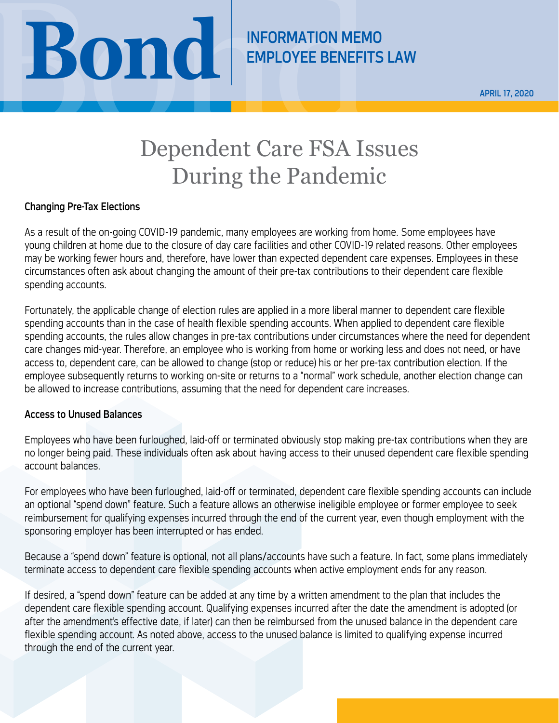

APRIL 17, 2020

## Dependent Care FSA Issues During the Pandemic

## Changing Pre-Tax Elections

As a result of the on-going COVID-19 pandemic, many employees are working from home. Some employees have young children at home due to the closure of day care facilities and other COVID-19 related reasons. Other employees may be working fewer hours and, therefore, have lower than expected dependent care expenses. Employees in these circumstances often ask about changing the amount of their pre-tax contributions to their dependent care flexible spending accounts.

Fortunately, the applicable change of election rules are applied in a more liberal manner to dependent care flexible spending accounts than in the case of health flexible spending accounts. When applied to dependent care flexible spending accounts, the rules allow changes in pre-tax contributions under circumstances where the need for dependent care changes mid-year. Therefore, an employee who is working from home or working less and does not need, or have access to, dependent care, can be allowed to change (stop or reduce) his or her pre-tax contribution election. If the employee subsequently returns to working on-site or returns to a "normal" work schedule, another election change can be allowed to increase contributions, assuming that the need for dependent care increases.

## Access to Unused Balances

Employees who have been furloughed, laid-off or terminated obviously stop making pre-tax contributions when they are no longer being paid. These individuals often ask about having access to their unused dependent care flexible spending account balances.

For employees who have been furloughed, laid-off or terminated, dependent care flexible spending accounts can include an optional "spend down" feature. Such a feature allows an otherwise ineligible employee or former employee to seek reimbursement for qualifying expenses incurred through the end of the current year, even though employment with the sponsoring employer has been interrupted or has ended.

Because a "spend down" feature is optional, not all plans/accounts have such a feature. In fact, some plans immediately terminate access to dependent care flexible spending accounts when active employment ends for any reason.

If desired, a "spend down" feature can be added at any time by a written amendment to the plan that includes the dependent care flexible spending account. Qualifying expenses incurred after the date the amendment is adopted (or after the amendment's effective date, if later) can then be reimbursed from the unused balance in the dependent care flexible spending account. As noted above, access to the unused balance is limited to qualifying expense incurred through the end of the current year.